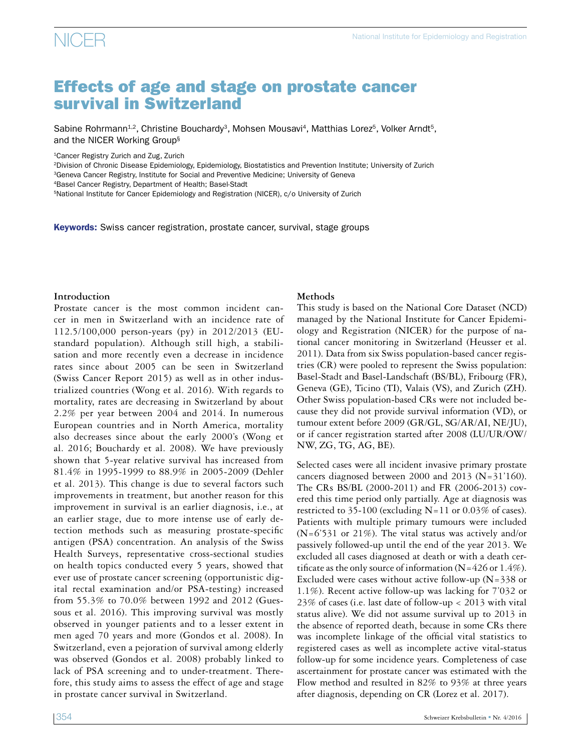### Effects of age and stage on prostate cancer survival in Switzerland

Sabine Rohrmann<sup>1,2</sup>, Christine Bouchardy<sup>3</sup>, Mohsen Mousavi<sup>4</sup>, Matthias Lorez<sup>5</sup>, Volker Arndt<sup>5</sup>, and the NICER Working Group§

1Cancer Registry Zurich and Zug, Zurich

2Division of Chronic Disease Epidemiology, Epidemiology, Biostatistics and Prevention Institute; University of Zurich

<sup>3</sup>Geneva Cancer Registry, Institute for Social and Preventive Medicine; University of Geneva

4Basel Cancer Registry, Department of Health; Basel-Stadt

<sup>5</sup>National Institute for Cancer Epidemiology and Registration (NICER), c/o University of Zurich

**Keywords:** Swiss cancer registration, prostate cancer, survival, stage groups

#### **Introduction**

Prostate cancer is the most common incident cancer in men in Switzerland with an incidence rate of 112.5/100,000 person-years (py) in 2012/2013 (EUstandard population). Although still high, a stabilisation and more recently even a decrease in incidence rates since about 2005 can be seen in Switzerland (Swiss Cancer Report 2015) as well as in other industrialized countries (Wong et al. 2016). With regards to mortality, rates are decreasing in Switzerland by about 2.2% per year between 2004 and 2014. In numerous European countries and in North America, mortality also decreases since about the early 2000's (Wong et al. 2016; Bouchardy et al. 2008). We have previously shown that 5-year relative survival has increased from 81.4% in 1995-1999 to 88.9% in 2005-2009 (Dehler et al. 2013). This change is due to several factors such improvements in treatment, but another reason for this improvement in survival is an earlier diagnosis, i.e., at an earlier stage, due to more intense use of early detection methods such as measuring prostate-specific antigen (PSA) concentration. An analysis of the Swiss Health Surveys, representative cross-sectional studies on health topics conducted every 5 years, showed that ever use of prostate cancer screening (opportunistic digital rectal examination and/or PSA-testing) increased from 55.3% to 70.0% between 1992 and 2012 (Guessous et al. 2016). This improving survival was mostly observed in younger patients and to a lesser extent in men aged 70 years and more (Gondos et al. 2008). In Switzerland, even a pejoration of survival among elderly was observed (Gondos et al. 2008) probably linked to lack of PSA screening and to under-treatment. Therefore, this study aims to assess the effect of age and stage in prostate cancer survival in Switzerland.

#### **Methods**

This study is based on the National Core Dataset (NCD) managed by the National Institute for Cancer Epidemiology and Registration (NICER) for the purpose of national cancer monitoring in Switzerland (Heusser et al. 2011). Data from six Swiss population-based cancer registries (CR) were pooled to represent the Swiss population: Basel-Stadt and Basel-Landschaft (BS/BL), Fribourg (FR), Geneva (GE), Ticino (TI), Valais (VS), and Zurich (ZH). Other Swiss population-based CRs were not included because they did not provide survival information (VD), or tumour extent before 2009 (GR/GL, SG/AR/AI, NE/JU), or if cancer registration started after 2008 (LU/UR/OW/ NW, ZG, TG, AG, BE).

Selected cases were all incident invasive primary prostate cancers diagnosed between 2000 and 2013 (N=31'160). The CRs BS/BL (2000-2011) and FR (2006-2013) covered this time period only partially. Age at diagnosis was restricted to 35-100 (excluding N=11 or 0.03% of cases). Patients with multiple primary tumours were included (N=6'531 or 21%). The vital status was actively and/or passively followed-up until the end of the year 2013. We excluded all cases diagnosed at death or with a death certificate as the only source of information ( $N=426$  or 1.4%). Excluded were cases without active follow-up  $(N=338$  or 1.1%). Recent active follow-up was lacking for 7'032 or 23% of cases (i.e. last date of follow-up < 2013 with vital status alive). We did not assume survival up to 2013 in the absence of reported death, because in some CRs there was incomplete linkage of the official vital statistics to registered cases as well as incomplete active vital-status follow-up for some incidence years. Completeness of case ascertainment for prostate cancer was estimated with the Flow method and resulted in 82% to 93% at three years after diagnosis, depending on CR (Lorez et al. 2017).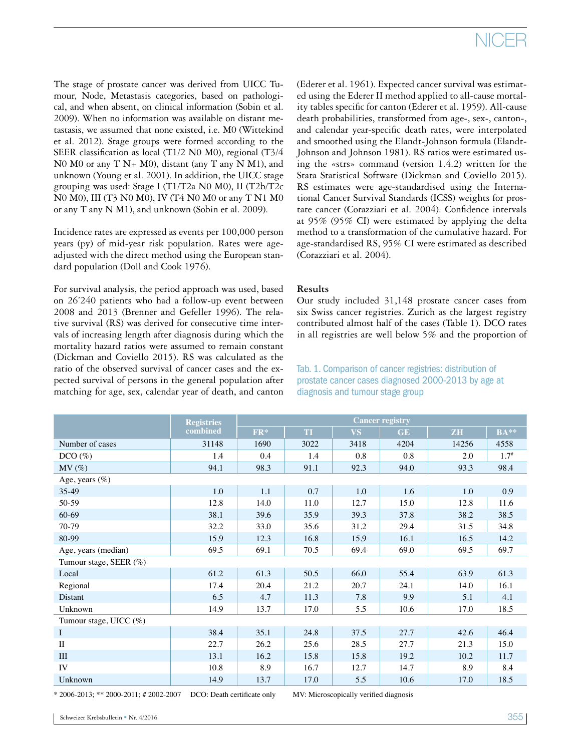## NICER

The stage of prostate cancer was derived from UICC Tumour, Node, Metastasis categories, based on pathological, and when absent, on clinical information (Sobin et al. 2009). When no information was available on distant metastasis, we assumed that none existed, i.e. M0 (Wittekind et al. 2012). Stage groups were formed according to the SEER classification as local (T1/2 N0 M0), regional (T3/4 N0 M0 or any  $T N+ M0$ , distant (any  $T$  any  $N M1$ ), and unknown (Young et al. 2001). In addition, the UICC stage grouping was used: Stage I (T1/T2a N0 M0), II (T2b/T2c N0 M0), III (T3 N0 M0), IV (T4 N0 M0 or any T N1 M0 or any T any N M1), and unknown (Sobin et al. 2009).

Incidence rates are expressed as events per 100,000 person years (py) of mid-year risk population. Rates were ageadjusted with the direct method using the European standard population (Doll and Cook 1976).

For survival analysis, the period approach was used, based on 26'240 patients who had a follow-up event between 2008 and 2013 (Brenner and Gefeller 1996). The relative survival (RS) was derived for consecutive time intervals of increasing length after diagnosis during which the mortality hazard ratios were assumed to remain constant (Dickman and Coviello 2015). RS was calculated as the ratio of the observed survival of cancer cases and the expected survival of persons in the general population after matching for age, sex, calendar year of death, and canton

(Ederer et al. 1961). Expected cancer survival was estimated using the Ederer II method applied to all-cause mortality tables specific for canton (Ederer et al. 1959). All-cause death probabilities, transformed from age-, sex-, canton-, and calendar year-specific death rates, were interpolated and smoothed using the Elandt-Johnson formula (Elandt-Johnson and Johnson 1981). RS ratios were estimated using the «strs» command (version 1.4.2) written for the Stata Statistical Software (Dickman and Coviello 2015). RS estimates were age-standardised using the International Cancer Survival Standards (ICSS) weights for prostate cancer (Corazziari et al. 2004). Confidence intervals at 95% (95% CI) were estimated by applying the delta method to a transformation of the cumulative hazard. For age-standardised RS, 95% CI were estimated as described (Corazziari et al. 2004).

#### **Results**

Our study included 31,148 prostate cancer cases from six Swiss cancer registries. Zurich as the largest registry contributed almost half of the cases (Table 1). DCO rates in all registries are well below 5% and the proportion of

#### **Registries combined Cancer registry FR\* TI VS GE ZH BA\*\*** Number of cases 1982 1148 1690 3022 3418 4204 14256 4558 DCO (%)  $1.4$   $0.4$   $1.4$   $0.8$   $0.8$   $2.0$   $1.7$ #  $\text{MV} \left( \% \right)$  94.1 98.3 98.4 91.1 92.3 94.0 93.3 98.4 Age, years (%) 35-49 1.0 1.0 1.1 0.7 1.0 1.6 1.0 0.9 50-59 12.8 12.8 14.0 11.0 12.7 15.0 12.8 11.6 60-69 38.1 39.6 35.9 39.3 37.8 38.2 38.5 70-79 32.2 33.0 35.6 31.2 29.4 31.5 34.8 80-99 15.9 12.3 16.8 15.9 16.1 16.5 14.2 Age, years (median)  $\begin{array}{|l|c|c|c|c|c|c|c|c|} \hline \text{Age, years (median)} & \text{Age, years (median)} \hline \end{array}$ Tumour stage, SEER (%) Local 61.2 61.3 50.5 66.0 55.4 63.9 61.3 Regional 17.4 20.4 21.2 20.7 24.1 14.0 16.1 Distant 1.1.3 | 11.3 | 1.3 | 1.8 | 9.9 | 5.1 | 4.1 Unknown 14.9 13.7 17.0 5.5 10.6 17.0 18.5 Tumour stage, UICC (%) I 38.4 35.1 24.8 37.5 27.7 42.6 46.4 II 22.7 22.7 26.2 25.6 28.5 27.7 21.3 15.0 III 13.1 13.1 16.2 15.8 15.8 19.2 10.2 11.7 IV  $10.8$   $8.9$   $16.7$   $12.7$   $14.7$   $8.9$   $8.4$ Unknown 14.9 13.7 17.0 5.5 10.6 17.0 18.5

\* 2006-2013; \*\* 2000-2011; # 2002-2007 DCO: Death certificate only MV: Microscopically verified diagnosis

Tab. 1. Comparison of cancer registries: distribution of prostate cancer cases diagnosed 2000-2013 by age at diagnosis and tumour stage group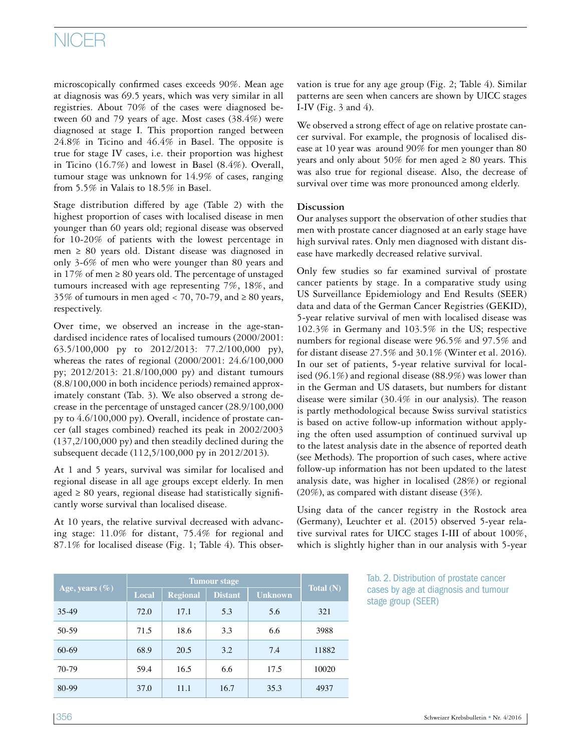## NICER

microscopically confirmed cases exceeds 90%. Mean age at diagnosis was 69.5 years, which was very similar in all registries. About 70% of the cases were diagnosed between 60 and 79 years of age. Most cases (38.4%) were diagnosed at stage I. This proportion ranged between 24.8% in Ticino and 46.4% in Basel. The opposite is true for stage IV cases, i.e. their proportion was highest in Ticino (16.7%) and lowest in Basel (8.4%). Overall, tumour stage was unknown for 14.9% of cases, ranging from 5.5% in Valais to 18.5% in Basel.

Stage distribution differed by age (Table 2) with the highest proportion of cases with localised disease in men younger than 60 years old; regional disease was observed for 10-20% of patients with the lowest percentage in men ≥ 80 years old. Distant disease was diagnosed in only 3-6% of men who were younger than 80 years and in 17% of men  $\geq$  80 years old. The percentage of unstaged tumours increased with age representing 7%, 18%, and 35% of tumours in men aged < 70, 70-79, and  $\geq 80$  years, respectively.

Over time, we observed an increase in the age-standardised incidence rates of localised tumours (2000/2001: 63.5/100,000 py to 2012/2013: 77.2/100,000 py), whereas the rates of regional (2000/2001: 24.6/100,000 py; 2012/2013: 21.8/100,000 py) and distant tumours (8.8/100,000 in both incidence periods) remained approximately constant (Tab. 3). We also observed a strong decrease in the percentage of unstaged cancer (28.9/100,000 py to 4.6/100,000 py). Overall, incidence of prostate cancer (all stages combined) reached its peak in 2002/2003 (137,2/100,000 py) and then steadily declined during the subsequent decade (112,5/100,000 py in 2012/2013).

At 1 and 5 years, survival was similar for localised and regional disease in all age groups except elderly. In men aged  $\geq 80$  years, regional disease had statistically significantly worse survival than localised disease.

At 10 years, the relative survival decreased with advancing stage: 11.0% for distant, 75.4% for regional and 87.1% for localised disease (Fig. 1; Table 4). This observation is true for any age group (Fig. 2; Table 4). Similar patterns are seen when cancers are shown by UICC stages I-IV (Fig. 3 and 4).

We observed a strong effect of age on relative prostate cancer survival. For example, the prognosis of localised disease at 10 year was around 90% for men younger than 80 years and only about 50% for men aged  $\geq 80$  years. This was also true for regional disease. Also, the decrease of survival over time was more pronounced among elderly.

#### **Discussion**

Our analyses support the observation of other studies that men with prostate cancer diagnosed at an early stage have high survival rates. Only men diagnosed with distant disease have markedly decreased relative survival.

Only few studies so far examined survival of prostate cancer patients by stage. In a comparative study using US Surveillance Epidemiology and End Results (SEER) data and data of the German Cancer Registries (GEKID), 5-year relative survival of men with localised disease was 102.3% in Germany and 103.5% in the US; respective numbers for regional disease were 96.5% and 97.5% and for distant disease 27.5% and 30.1% (Winter et al. 2016). In our set of patients, 5-year relative survival for localised (96.1%) and regional disease (88.9%) was lower than in the German and US datasets, but numbers for distant disease were similar (30.4% in our analysis). The reason is partly methodological because Swiss survival statistics is based on active follow-up information without applying the often used assumption of continued survival up to the latest analysis date in the absence of reported death (see Methods). The proportion of such cases, where active follow-up information has not been updated to the latest analysis date, was higher in localised (28%) or regional (20%), as compared with distant disease (3%).

Using data of the cancer registry in the Rostock area (Germany), Leuchter et al. (2015) observed 5-year relative survival rates for UICC stages I-III of about 100%, which is slightly higher than in our analysis with 5-year

| Age, years $(\%)$ |       |                 |                |                |           |
|-------------------|-------|-----------------|----------------|----------------|-----------|
|                   | Local | <b>Regional</b> | <b>Distant</b> | <b>Unknown</b> | Total (N) |
| 35-49             | 72.0  | 17.1            | 5.3            | 5.6            | 321       |
| 50-59             | 71.5  | 18.6            | 3.3            | 6.6            | 3988      |
| $60-69$           | 68.9  | 20.5            | 3.2            | 7.4            | 11882     |
| 70-79             | 59.4  | 16.5            | 6.6            | 17.5           | 10020     |
| 80-99             | 37.0  | 11.1            | 16.7           | 35.3           | 4937      |

Tab. 2. Distribution of prostate cancer cases by age at diagnosis and tumour stage group (SEER)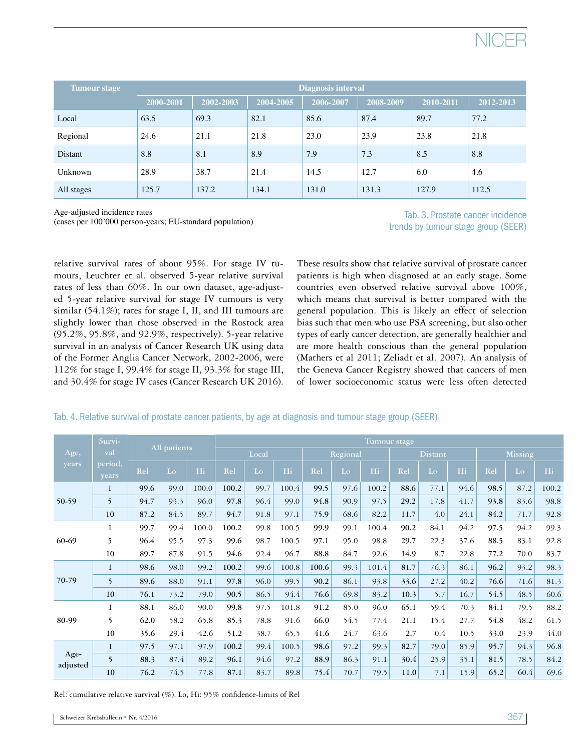

| <b>Tumour stage</b> | Diagnosis interval |           |           |           |           |           |           |  |  |  |  |  |
|---------------------|--------------------|-----------|-----------|-----------|-----------|-----------|-----------|--|--|--|--|--|
|                     | 2000-2001          | 2002-2003 | 2004-2005 | 2006-2007 | 2008-2009 | 2010-2011 | 2012-2013 |  |  |  |  |  |
| Local               | 63.5               | 69.3      | 82.1      | 85.6      | 87.4      | 89.7      | 77.2      |  |  |  |  |  |
| Regional            | 24.6               | 21.1      | 21.8      | 23.0      | 23.9      | 23.8      | 21.8      |  |  |  |  |  |
| Distant             | 8.8                | 8.1       | 8.9       | 7.9       | 7.3       | 8.5       | 8.8       |  |  |  |  |  |
| Unknown             | 28.9               | 38.7      | 21.4      | 14.5      | 12.7      | 6.0       | 4.6       |  |  |  |  |  |
| All stages          | 125.7              | 137.2     | 134.1     | 131.0     | 131.3     | 127.9     | 112.5     |  |  |  |  |  |

Age-adjusted incidence rates

(cases per 100'000 person-years; EU-standard population)

Tab. 3. Prostate cancer incidence trends by tumour stage group (SEER)

relative survival rates of about 95%. For stage IV tumours, Leuchter et al. observed 5-year relative survival rates of less than 60%. In our own dataset, age-adjusted 5-year relative survival for stage IV tumours is very similar (54.1%); rates for stage I, II, and III tumours are slightly lower than those observed in the Rostock area (95.2%, 95.8%, and 92.9%, respectively). 5-year relative survival in an analysis of Cancer Research UK using data of the Former Anglia Cancer Network, 2002-2006, were 112% for stage I, 99.4% for stage II, 93.3% for stage III, and 30.4% for stage IV cases (Cancer Research UK 2016).

These results show that relative survival of prostate cancer patients is high when diagnosed at an early stage. Some countries even observed relative survival above 100%, which means that survival is better compared with the general population. This is likely an effect of selection bias such that men who use PSA screening, but also other types of early cancer detection, are generally healthier and are more health conscious than the general population (Mathers et al 2011; Zeliadt et al. 2007). An analysis of the Geneva Cancer Registry showed that cancers of men of lower socioeconomic status were less often detected

|                  | Survi-           |              |      |       | Tumour stage |          |       |       |                |       |      |                |      |      |      |       |
|------------------|------------------|--------------|------|-------|--------------|----------|-------|-------|----------------|-------|------|----------------|------|------|------|-------|
| Age,<br>years    | val              | All patients |      | Local |              | Regional |       |       | <b>Distant</b> |       |      | <b>Missing</b> |      |      |      |       |
|                  | period,<br>years | Rel          | Lo   | Hi    | Rel          | Lo       | Hi    | Rel   | Lo             | Hi    | Rel  | Lo             | Hi   | Rel  | Lo   | Hi    |
| 50-59            | $\mathbf{1}$     | 99.6         | 99.0 | 100.0 | 100.2        | 99.7     | 100.4 | 99.5  | 97.6           | 100.2 | 88.6 | 77.1           | 94.6 | 98.5 | 87.2 | 100.2 |
|                  | 5                | 94.7         | 93.3 | 96.0  | 97.8         | 96.4     | 99.0  | 94.8  | 90.9           | 97.5  | 29.2 | 17.8           | 41.7 | 93.8 | 83.6 | 98.8  |
|                  | 10               | 87.2         | 84.5 | 89.7  | 94.7         | 91.8     | 97.1  | 75.9  | 68.6           | 82.2  | 11.7 | 4.0            | 24.1 | 84.2 | 71.7 | 92.8  |
| 60-69            | 1                | 99.7         | 99.4 | 100.0 | 100.2        | 99.8     | 100.5 | 99.9  | 99.1           | 100.4 | 90.2 | 84.1           | 94.2 | 97.5 | 94.2 | 99.3  |
|                  | 5                | 96.4         | 95.5 | 97.3  | 99.6         | 98.7     | 100.5 | 97.1  | 95.0           | 98.8  | 29.7 | 22.3           | 37.6 | 88.5 | 83.1 | 92.8  |
|                  | 10               | 89.7         | 87.8 | 91.5  | 94.6         | 92.4     | 96.7  | 88.8  | 84.7           | 92.6  | 14.9 | 8.7            | 22.8 | 77.2 | 70.0 | 83.7  |
| 70-79            | $\mathbf{1}$     | 98.6         | 98.0 | 99.2  | 100.2        | 99.6     | 100.8 | 100.6 | 99.3           | 101.4 | 81.7 | 76.3           | 86.1 | 96.2 | 93.2 | 98.3  |
|                  | 5                | 89.6         | 88.0 | 91.1  | 97.8         | 96.0     | 99.5  | 90.2  | 86.1           | 93.8  | 33.6 | 27.2           | 40.2 | 76.6 | 71.6 | 81.3  |
|                  | 10               | 76.1         | 73.2 | 79.0  | 90.5         | 86.5     | 94.4  | 76.6  | 69.8           | 83.2  | 10.3 | 5.7            | 16.7 | 54.5 | 48.5 | 60.6  |
| 80-99            | 1                | 88.1         | 86.0 | 90.0  | 99.8         | 97.5     | 101.8 | 91.2  | 85.0           | 96.0  | 65.1 | 59.4           | 70.3 | 84.1 | 79.5 | 88.2  |
|                  | 5                | 62.0         | 58.2 | 65.8  | 85.3         | 78.8     | 91.6  | 66.0  | 54.5           | 77.4  | 21.1 | 15.4           | 27.7 | 54.8 | 48.2 | 61.5  |
|                  | 10               | 35.6         | 29.4 | 42.6  | 51.2         | 38.7     | 65.5  | 41.6  | 24.7           | 63.6  | 2.7  | 0.4            | 10.5 | 33.0 | 23.9 | 44.0  |
| Age-<br>adjusted | $\mathbf{1}$     | 97.5         | 97.1 | 97.9  | 100.2        | 99.4     | 100.5 | 98.6  | 97.2           | 99.3  | 82.7 | 79.0           | 85.9 | 95.7 | 94.3 | 96.8  |
|                  | 5                | 88.3         | 87.4 | 89.2  | 96.1         | 94.6     | 97.2  | 88.9  | 86.3           | 91.1  | 30.4 | 25.9           | 35.1 | 81.5 | 78.5 | 84.2  |
|                  | 10               | 76.2         | 74.5 | 77.8  | 87.1         | 83.7     | 89.8  | 75.4  | 70.7           | 79.5  | 11.0 | 7.1            | 15.9 | 65.2 | 60.4 | 69.6  |

#### Tab. 4. Relative survival of prostate cancer patients, by age at diagnosis and tumour stage group (SEER)

Rel: cumulative relative survival (%). Lo, Hi: 95% confidence-limits of Rel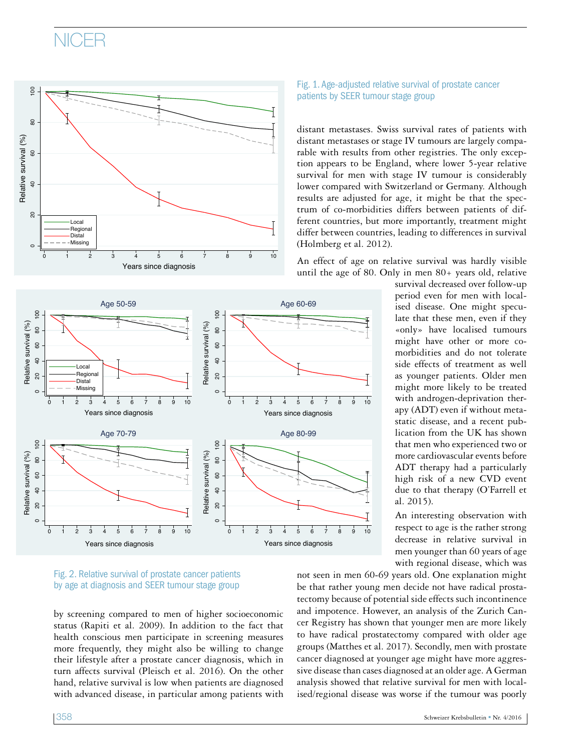### NICER







by screening compared to men of higher socioeconomic status (Rapiti et al. 2009). In addition to the fact that health conscious men participate in screening measures more frequently, they might also be willing to change their lifestyle after a prostate cancer diagnosis, which in turn affects survival (Pleisch et al. 2016). On the other hand, relative survival is low when patients are diagnosed with advanced disease, in particular among patients with Fig. 1. Age-adjusted relative survival of prostate cancer patients by SEER tumour stage group

distant metastases. Swiss survival rates of patients with distant metastases or stage IV tumours are largely comparable with results from other registries. The only exception appears to be England, where lower 5-year relative survival for men with stage IV tumour is considerably lower compared with Switzerland or Germany. Although results are adjusted for age, it might be that the spectrum of co-morbidities differs between patients of different countries, but more importantly, treatment might differ between countries, leading to differences in survival (Holmberg et al. 2012).

An effect of age on relative survival was hardly visible until the age of 80. Only in men  $80+$  years old, relative

> survival decreased over follow-up period even for men with localised disease. One might speculate that these men, even if they «only» have localised tumours might have other or more comorbidities and do not tolerate side effects of treatment as well as younger patients. Older men might more likely to be treated with androgen-deprivation therapy (ADT) even if without metastatic disease, and a recent publication from the UK has shown that men who experienced two or more cardiovascular events before ADT therapy had a particularly high risk of a new CVD event due to that therapy (O'Farrell et al. 2015).

> An interesting observation with respect to age is the rather strong decrease in relative survival in men younger than 60 years of age with regional disease, which was

not seen in men 60-69 years old. One explanation might be that rather young men decide not have radical prostatectomy because of potential side effects such incontinence and impotence. However, an analysis of the Zurich Cancer Registry has shown that younger men are more likely to have radical prostatectomy compared with older age groups (Matthes et al. 2017). Secondly, men with prostate cancer diagnosed at younger age might have more aggressive disease than cases diagnosed at an older age. A German analysis showed that relative survival for men with localised/regional disease was worse if the tumour was poorly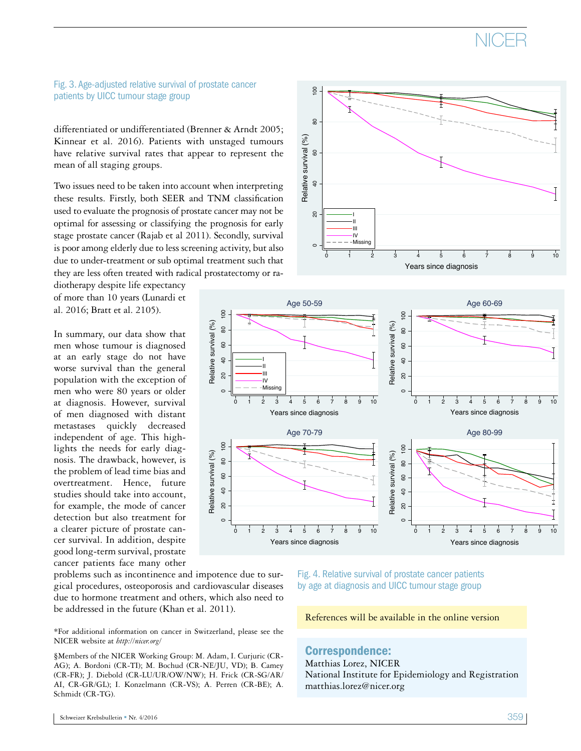

#### Fig. 3. Age-adjusted relative survival of prostate cancer patients by UICC tumour stage group

differentiated or undifferentiated (Brenner & Arndt 2005; Kinnear et al. 2016). Patients with unstaged tumours have relative survival rates that appear to represent the mean of all staging groups.

Two issues need to be taken into account when interpreting these results. Firstly, both SEER and TNM classification used to evaluate the prognosis of prostate cancer may not be optimal for assessing or classifying the prognosis for early stage prostate cancer (Rajab et al 2011). Secondly, survival is poor among elderly due to less screening activity, but also due to under-treatment or sub optimal treatment such that they are less often treated with radical prostatectomy or ra-

diotherapy despite life expectancy of more than 10 years (Lunardi et al. 2016; Bratt et al. 2105).

In summary, our data show that men whose tumour is diagnosed at an early stage do not have worse survival than the general population with the exception of men who were 80 years or older at diagnosis. However, survival of men diagnosed with distant metastases quickly decreased independent of age. This highlights the needs for early diagnosis. The drawback, however, is the problem of lead time bias and overtreatment. Hence, future studies should take into account, for example, the mode of cancer detection but also treatment for a clearer picture of prostate cancer survival. In addition, despite good long-term survival, prostate cancer patients face many other



Relative survival (%)

 $\overline{40}$ 

Relative survival (%) 60

 $\overline{0}$ 

80

X

problems such as incontinence and impotence due to surgical procedures, osteoporosis and cardiovascular diseases due to hormone treatment and others, which also need to be addressed in the future (Khan et al. 2011).

\*For additional information on cancer in Switzerland, please see the NICER website at *http://nicer.org/*

§Members of the NICER Working Group: M. Adam, I. Curjuric (CR-AG); A. Bordoni (CR-TI); M. Bochud (CR-NE/JU, VD); B. Camey (CR-FR); J. Diebold (CR-LU/UR/OW/NW); H. Frick (CR-SG/AR/ AI, CR-GR/GL); I. Konzelmann (CR-VS); A. Perren (CR-BE); A. Schmidt (CR-TG).

Fig. 4. Relative survival of prostate cancer patients by age at diagnosis and UICC tumour stage group

References will be available in the online version

### Correspondence:

Matthias Lorez, NICER National Institute for Epidemiology and Registration matthias.lorez@nicer.org